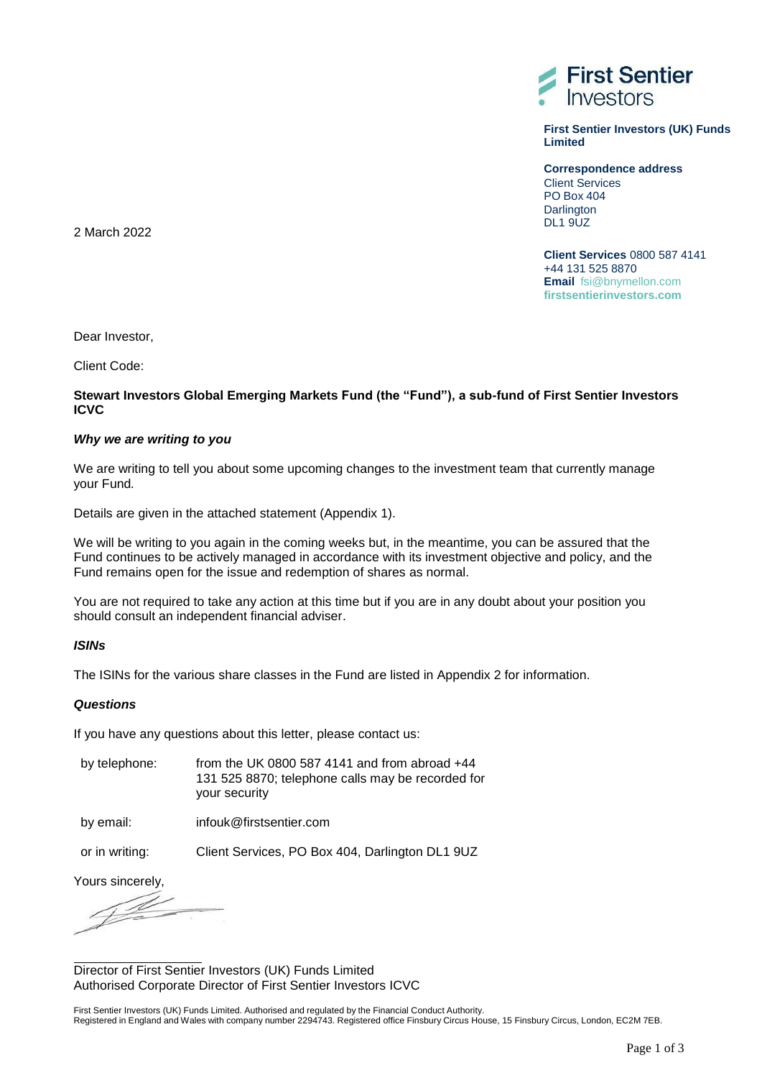

**First Sentier Investors (UK) Funds Limited**

**Correspondence address** Client Services PO Box 404 **Darlington**  $DL19UZ$ 

**Client Services** 0800 587 4141 +44 131 525 8870 **Email** [fsi@bnymellon.com](mailto:fsi@bnymellon.com) **firstsentierinvestors.com**

2 March 2022

Dear Investor,

Client Code:

# **Stewart Investors Global Emerging Markets Fund (the "Fund"), a sub-fund of First Sentier Investors ICVC**

## *Why we are writing to you*

We are writing to tell you about some upcoming changes to the investment team that currently manage your Fund*.*

Details are given in the attached statement (Appendix 1).

We will be writing to you again in the coming weeks but, in the meantime, you can be assured that the Fund continues to be actively managed in accordance with its investment objective and policy, and the Fund remains open for the issue and redemption of shares as normal.

You are not required to take any action at this time but if you are in any doubt about your position you should consult an independent financial adviser.

#### *ISINs*

The ISINs for the various share classes in the Fund are listed in Appendix 2 for information.

#### *Questions*

If you have any questions about this letter, please contact us:

| by telephone: | from the UK 0800 587 4141 and from abroad $+44$   |
|---------------|---------------------------------------------------|
|               | 131 525 8870; telephone calls may be recorded for |
|               | your security                                     |

by email: infouk@firstsentier.com

or in writing: Client Services, PO Box 404, Darlington DL1 9UZ

Yours sincerely,

<u>T d</u>

Director of First Sentier Investors (UK) Funds Limited Authorised Corporate Director of First Sentier Investors ICVC

First Sentier Investors (UK) Funds Limited. Authorised and regulated by the Financial Conduct Authority. Registered in England and Wales with company number 2294743. Registered office Finsbury Circus House, 15 Finsbury Circus, London, EC2M 7EB.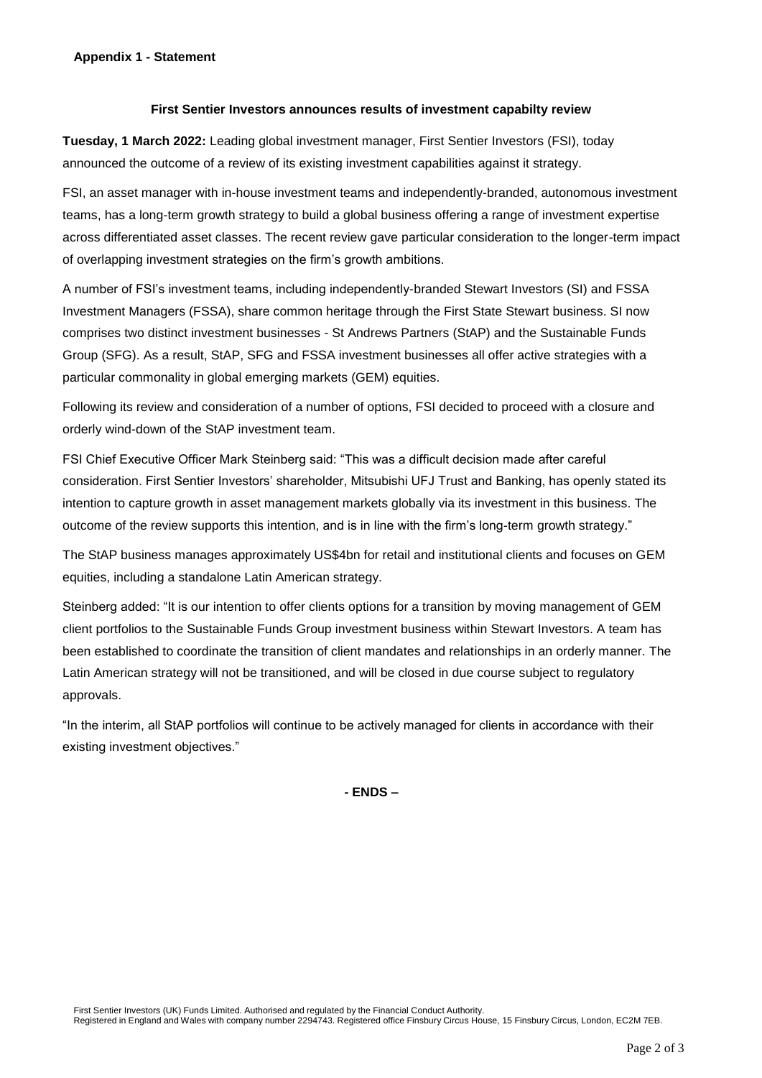# **Appendix 1 - Statement**

### **First Sentier Investors announces results of investment capabilty review**

**Tuesday, 1 March 2022:** Leading global investment manager, First Sentier Investors (FSI), today announced the outcome of a review of its existing investment capabilities against it strategy.

FSI, an asset manager with in-house investment teams and independently-branded, autonomous investment teams, has a long-term growth strategy to build a global business offering a range of investment expertise across differentiated asset classes. The recent review gave particular consideration to the longer-term impact of overlapping investment strategies on the firm's growth ambitions.

A number of FSI's investment teams, including independently-branded Stewart Investors (SI) and FSSA Investment Managers (FSSA), share common heritage through the First State Stewart business. SI now comprises two distinct investment businesses - St Andrews Partners (StAP) and the Sustainable Funds Group (SFG). As a result, StAP, SFG and FSSA investment businesses all offer active strategies with a particular commonality in global emerging markets (GEM) equities.

Following its review and consideration of a number of options, FSI decided to proceed with a closure and orderly wind-down of the StAP investment team.

FSI Chief Executive Officer Mark Steinberg said: "This was a difficult decision made after careful consideration. First Sentier Investors' shareholder, Mitsubishi UFJ Trust and Banking, has openly stated its intention to capture growth in asset management markets globally via its investment in this business. The outcome of the review supports this intention, and is in line with the firm's long-term growth strategy."

The StAP business manages approximately US\$4bn for retail and institutional clients and focuses on GEM equities, including a standalone Latin American strategy.

Steinberg added: "It is our intention to offer clients options for a transition by moving management of GEM client portfolios to the Sustainable Funds Group investment business within Stewart Investors. A team has been established to coordinate the transition of client mandates and relationships in an orderly manner. The Latin American strategy will not be transitioned, and will be closed in due course subject to regulatory approvals.

"In the interim, all StAP portfolios will continue to be actively managed for clients in accordance with their existing investment objectives."

**- ENDS –**

First Sentier Investors (UK) Funds Limited. Authorised and regulated by the Financial Conduct Authority.

Registered in England and Wales with company number 2294743. Registered office Finsbury Circus House, 15 Finsbury Circus, London, EC2M 7EB.